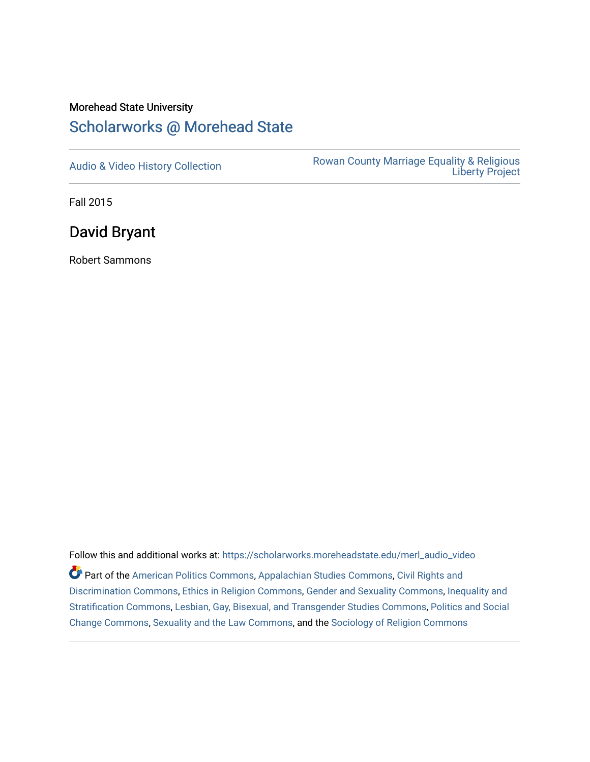## Morehead State University

## [Scholarworks @ Morehead State](https://scholarworks.moreheadstate.edu/)

[Audio & Video History Collection](https://scholarworks.moreheadstate.edu/merl_audio_video) **Rowan County Marriage Equality & Religious** [Liberty Project](https://scholarworks.moreheadstate.edu/merl) 

Fall 2015

David Bryant

Robert Sammons

Follow this and additional works at: [https://scholarworks.moreheadstate.edu/merl\\_audio\\_video](https://scholarworks.moreheadstate.edu/merl_audio_video?utm_source=scholarworks.moreheadstate.edu%2Fmerl_audio_video%2F93&utm_medium=PDF&utm_campaign=PDFCoverPages)  Part of the [American Politics Commons,](http://network.bepress.com/hgg/discipline/387?utm_source=scholarworks.moreheadstate.edu%2Fmerl_audio_video%2F93&utm_medium=PDF&utm_campaign=PDFCoverPages) [Appalachian Studies Commons,](http://network.bepress.com/hgg/discipline/1253?utm_source=scholarworks.moreheadstate.edu%2Fmerl_audio_video%2F93&utm_medium=PDF&utm_campaign=PDFCoverPages) [Civil Rights and](http://network.bepress.com/hgg/discipline/585?utm_source=scholarworks.moreheadstate.edu%2Fmerl_audio_video%2F93&utm_medium=PDF&utm_campaign=PDFCoverPages) [Discrimination Commons,](http://network.bepress.com/hgg/discipline/585?utm_source=scholarworks.moreheadstate.edu%2Fmerl_audio_video%2F93&utm_medium=PDF&utm_campaign=PDFCoverPages) [Ethics in Religion Commons,](http://network.bepress.com/hgg/discipline/541?utm_source=scholarworks.moreheadstate.edu%2Fmerl_audio_video%2F93&utm_medium=PDF&utm_campaign=PDFCoverPages) [Gender and Sexuality Commons](http://network.bepress.com/hgg/discipline/420?utm_source=scholarworks.moreheadstate.edu%2Fmerl_audio_video%2F93&utm_medium=PDF&utm_campaign=PDFCoverPages), [Inequality and](http://network.bepress.com/hgg/discipline/421?utm_source=scholarworks.moreheadstate.edu%2Fmerl_audio_video%2F93&utm_medium=PDF&utm_campaign=PDFCoverPages)  [Stratification Commons](http://network.bepress.com/hgg/discipline/421?utm_source=scholarworks.moreheadstate.edu%2Fmerl_audio_video%2F93&utm_medium=PDF&utm_campaign=PDFCoverPages), [Lesbian, Gay, Bisexual, and Transgender Studies Commons,](http://network.bepress.com/hgg/discipline/560?utm_source=scholarworks.moreheadstate.edu%2Fmerl_audio_video%2F93&utm_medium=PDF&utm_campaign=PDFCoverPages) [Politics and Social](http://network.bepress.com/hgg/discipline/425?utm_source=scholarworks.moreheadstate.edu%2Fmerl_audio_video%2F93&utm_medium=PDF&utm_campaign=PDFCoverPages)  [Change Commons](http://network.bepress.com/hgg/discipline/425?utm_source=scholarworks.moreheadstate.edu%2Fmerl_audio_video%2F93&utm_medium=PDF&utm_campaign=PDFCoverPages), [Sexuality and the Law Commons,](http://network.bepress.com/hgg/discipline/877?utm_source=scholarworks.moreheadstate.edu%2Fmerl_audio_video%2F93&utm_medium=PDF&utm_campaign=PDFCoverPages) and the [Sociology of Religion Commons](http://network.bepress.com/hgg/discipline/1365?utm_source=scholarworks.moreheadstate.edu%2Fmerl_audio_video%2F93&utm_medium=PDF&utm_campaign=PDFCoverPages)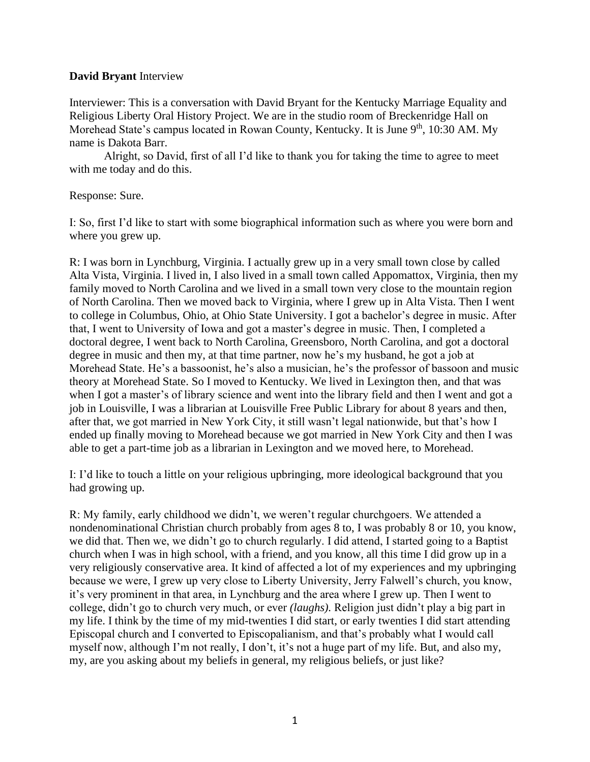## **David Bryant** Interview

Interviewer: This is a conversation with David Bryant for the Kentucky Marriage Equality and Religious Liberty Oral History Project. We are in the studio room of Breckenridge Hall on Morehead State's campus located in Rowan County, Kentucky. It is June  $9<sup>th</sup>$ , 10:30 AM. My name is Dakota Barr.

Alright, so David, first of all I'd like to thank you for taking the time to agree to meet with me today and do this.

Response: Sure.

I: So, first I'd like to start with some biographical information such as where you were born and where you grew up.

R: I was born in Lynchburg, Virginia. I actually grew up in a very small town close by called Alta Vista, Virginia. I lived in, I also lived in a small town called Appomattox, Virginia, then my family moved to North Carolina and we lived in a small town very close to the mountain region of North Carolina. Then we moved back to Virginia, where I grew up in Alta Vista. Then I went to college in Columbus, Ohio, at Ohio State University. I got a bachelor's degree in music. After that, I went to University of Iowa and got a master's degree in music. Then, I completed a doctoral degree, I went back to North Carolina, Greensboro, North Carolina, and got a doctoral degree in music and then my, at that time partner, now he's my husband, he got a job at Morehead State. He's a bassoonist, he's also a musician, he's the professor of bassoon and music theory at Morehead State. So I moved to Kentucky. We lived in Lexington then, and that was when I got a master's of library science and went into the library field and then I went and got a job in Louisville, I was a librarian at Louisville Free Public Library for about 8 years and then, after that, we got married in New York City, it still wasn't legal nationwide, but that's how I ended up finally moving to Morehead because we got married in New York City and then I was able to get a part-time job as a librarian in Lexington and we moved here, to Morehead.

I: I'd like to touch a little on your religious upbringing, more ideological background that you had growing up.

R: My family, early childhood we didn't, we weren't regular churchgoers. We attended a nondenominational Christian church probably from ages 8 to, I was probably 8 or 10, you know, we did that. Then we, we didn't go to church regularly. I did attend, I started going to a Baptist church when I was in high school, with a friend, and you know, all this time I did grow up in a very religiously conservative area. It kind of affected a lot of my experiences and my upbringing because we were, I grew up very close to Liberty University, Jerry Falwell's church, you know, it's very prominent in that area, in Lynchburg and the area where I grew up. Then I went to college, didn't go to church very much, or ever *(laughs).* Religion just didn't play a big part in my life. I think by the time of my mid-twenties I did start, or early twenties I did start attending Episcopal church and I converted to Episcopalianism, and that's probably what I would call myself now, although I'm not really, I don't, it's not a huge part of my life. But, and also my, my, are you asking about my beliefs in general, my religious beliefs, or just like?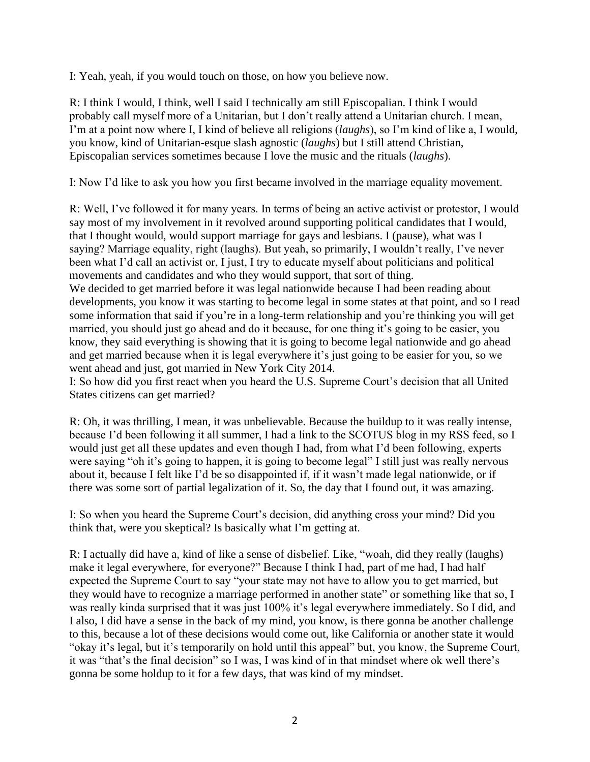I: Yeah, yeah, if you would touch on those, on how you believe now.

R: I think I would, I think, well I said I technically am still Episcopalian. I think I would probably call myself more of a Unitarian, but I don't really attend a Unitarian church. I mean, I'm at a point now where I, I kind of believe all religions (*laughs*), so I'm kind of like a, I would, you know, kind of Unitarian-esque slash agnostic (*laughs*) but I still attend Christian, Episcopalian services sometimes because I love the music and the rituals (*laughs*).

I: Now I'd like to ask you how you first became involved in the marriage equality movement.

R: Well, I've followed it for many years. In terms of being an active activist or protestor, I would say most of my involvement in it revolved around supporting political candidates that I would, that I thought would, would support marriage for gays and lesbians. I (pause), what was I saying? Marriage equality, right (laughs). But yeah, so primarily, I wouldn't really, I've never been what I'd call an activist or, I just, I try to educate myself about politicians and political movements and candidates and who they would support, that sort of thing. We decided to get married before it was legal nationwide because I had been reading about developments, you know it was starting to become legal in some states at that point, and so I read

some information that said if you're in a long-term relationship and you're thinking you will get married, you should just go ahead and do it because, for one thing it's going to be easier, you know, they said everything is showing that it is going to become legal nationwide and go ahead and get married because when it is legal everywhere it's just going to be easier for you, so we went ahead and just, got married in New York City 2014.

I: So how did you first react when you heard the U.S. Supreme Court's decision that all United States citizens can get married?

R: Oh, it was thrilling, I mean, it was unbelievable. Because the buildup to it was really intense, because I'd been following it all summer, I had a link to the SCOTUS blog in my RSS feed, so I would just get all these updates and even though I had, from what I'd been following, experts were saying "oh it's going to happen, it is going to become legal" I still just was really nervous about it, because I felt like I'd be so disappointed if, if it wasn't made legal nationwide, or if there was some sort of partial legalization of it. So, the day that I found out, it was amazing.

I: So when you heard the Supreme Court's decision, did anything cross your mind? Did you think that, were you skeptical? Is basically what I'm getting at.

R: I actually did have a, kind of like a sense of disbelief. Like, "woah, did they really (laughs) make it legal everywhere, for everyone?" Because I think I had, part of me had, I had half expected the Supreme Court to say "your state may not have to allow you to get married, but they would have to recognize a marriage performed in another state" or something like that so, I was really kinda surprised that it was just 100% it's legal everywhere immediately. So I did, and I also, I did have a sense in the back of my mind, you know, is there gonna be another challenge to this, because a lot of these decisions would come out, like California or another state it would "okay it's legal, but it's temporarily on hold until this appeal" but, you know, the Supreme Court, it was "that's the final decision" so I was, I was kind of in that mindset where ok well there's gonna be some holdup to it for a few days, that was kind of my mindset.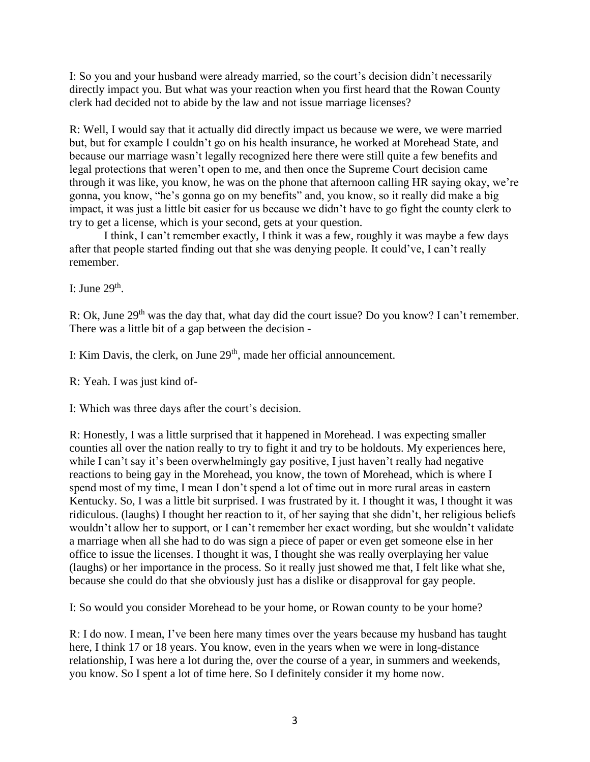I: So you and your husband were already married, so the court's decision didn't necessarily directly impact you. But what was your reaction when you first heard that the Rowan County clerk had decided not to abide by the law and not issue marriage licenses?

R: Well, I would say that it actually did directly impact us because we were, we were married but, but for example I couldn't go on his health insurance, he worked at Morehead State, and because our marriage wasn't legally recognized here there were still quite a few benefits and legal protections that weren't open to me, and then once the Supreme Court decision came through it was like, you know, he was on the phone that afternoon calling HR saying okay, we're gonna, you know, "he's gonna go on my benefits" and, you know, so it really did make a big impact, it was just a little bit easier for us because we didn't have to go fight the county clerk to try to get a license, which is your second, gets at your question.

I think, I can't remember exactly, I think it was a few, roughly it was maybe a few days after that people started finding out that she was denying people. It could've, I can't really remember.

I: June  $29<sup>th</sup>$ .

R: Ok, June 29<sup>th</sup> was the day that, what day did the court issue? Do you know? I can't remember. There was a little bit of a gap between the decision -

I: Kim Davis, the clerk, on June 29<sup>th</sup>, made her official announcement.

R: Yeah. I was just kind of-

I: Which was three days after the court's decision.

R: Honestly, I was a little surprised that it happened in Morehead. I was expecting smaller counties all over the nation really to try to fight it and try to be holdouts. My experiences here, while I can't say it's been overwhelmingly gay positive, I just haven't really had negative reactions to being gay in the Morehead, you know, the town of Morehead, which is where I spend most of my time, I mean I don't spend a lot of time out in more rural areas in eastern Kentucky. So, I was a little bit surprised. I was frustrated by it. I thought it was, I thought it was ridiculous. (laughs) I thought her reaction to it, of her saying that she didn't, her religious beliefs wouldn't allow her to support, or I can't remember her exact wording, but she wouldn't validate a marriage when all she had to do was sign a piece of paper or even get someone else in her office to issue the licenses. I thought it was, I thought she was really overplaying her value (laughs) or her importance in the process. So it really just showed me that, I felt like what she, because she could do that she obviously just has a dislike or disapproval for gay people.

I: So would you consider Morehead to be your home, or Rowan county to be your home?

R: I do now. I mean, I've been here many times over the years because my husband has taught here, I think 17 or 18 years. You know, even in the years when we were in long-distance relationship, I was here a lot during the, over the course of a year, in summers and weekends, you know. So I spent a lot of time here. So I definitely consider it my home now.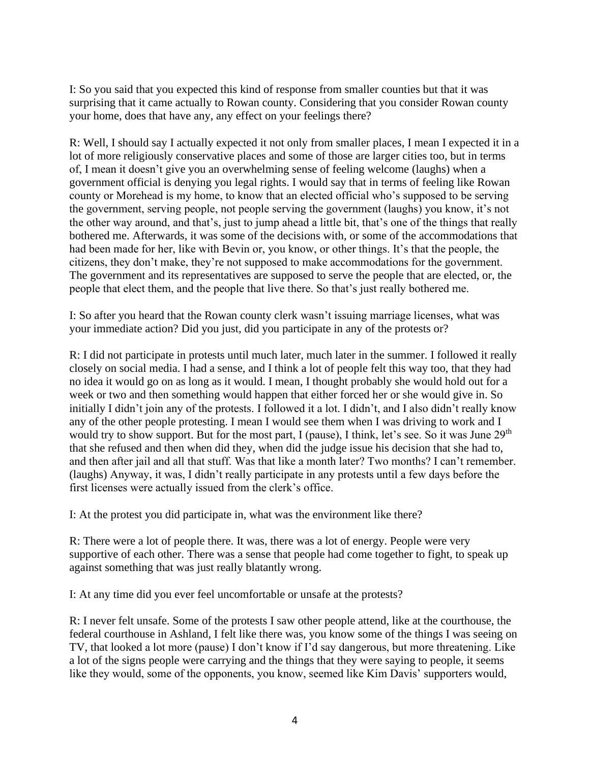I: So you said that you expected this kind of response from smaller counties but that it was surprising that it came actually to Rowan county. Considering that you consider Rowan county your home, does that have any, any effect on your feelings there?

R: Well, I should say I actually expected it not only from smaller places, I mean I expected it in a lot of more religiously conservative places and some of those are larger cities too, but in terms of, I mean it doesn't give you an overwhelming sense of feeling welcome (laughs) when a government official is denying you legal rights. I would say that in terms of feeling like Rowan county or Morehead is my home, to know that an elected official who's supposed to be serving the government, serving people, not people serving the government (laughs) you know, it's not the other way around, and that's, just to jump ahead a little bit, that's one of the things that really bothered me. Afterwards, it was some of the decisions with, or some of the accommodations that had been made for her, like with Bevin or, you know, or other things. It's that the people, the citizens, they don't make, they're not supposed to make accommodations for the government. The government and its representatives are supposed to serve the people that are elected, or, the people that elect them, and the people that live there. So that's just really bothered me.

I: So after you heard that the Rowan county clerk wasn't issuing marriage licenses, what was your immediate action? Did you just, did you participate in any of the protests or?

R: I did not participate in protests until much later, much later in the summer. I followed it really closely on social media. I had a sense, and I think a lot of people felt this way too, that they had no idea it would go on as long as it would. I mean, I thought probably she would hold out for a week or two and then something would happen that either forced her or she would give in. So initially I didn't join any of the protests. I followed it a lot. I didn't, and I also didn't really know any of the other people protesting. I mean I would see them when I was driving to work and I would try to show support. But for the most part, I (pause), I think, let's see. So it was June 29<sup>th</sup> that she refused and then when did they, when did the judge issue his decision that she had to, and then after jail and all that stuff. Was that like a month later? Two months? I can't remember. (laughs) Anyway, it was, I didn't really participate in any protests until a few days before the first licenses were actually issued from the clerk's office.

I: At the protest you did participate in, what was the environment like there?

R: There were a lot of people there. It was, there was a lot of energy. People were very supportive of each other. There was a sense that people had come together to fight, to speak up against something that was just really blatantly wrong.

I: At any time did you ever feel uncomfortable or unsafe at the protests?

R: I never felt unsafe. Some of the protests I saw other people attend, like at the courthouse, the federal courthouse in Ashland, I felt like there was, you know some of the things I was seeing on TV, that looked a lot more (pause) I don't know if I'd say dangerous, but more threatening. Like a lot of the signs people were carrying and the things that they were saying to people, it seems like they would, some of the opponents, you know, seemed like Kim Davis' supporters would,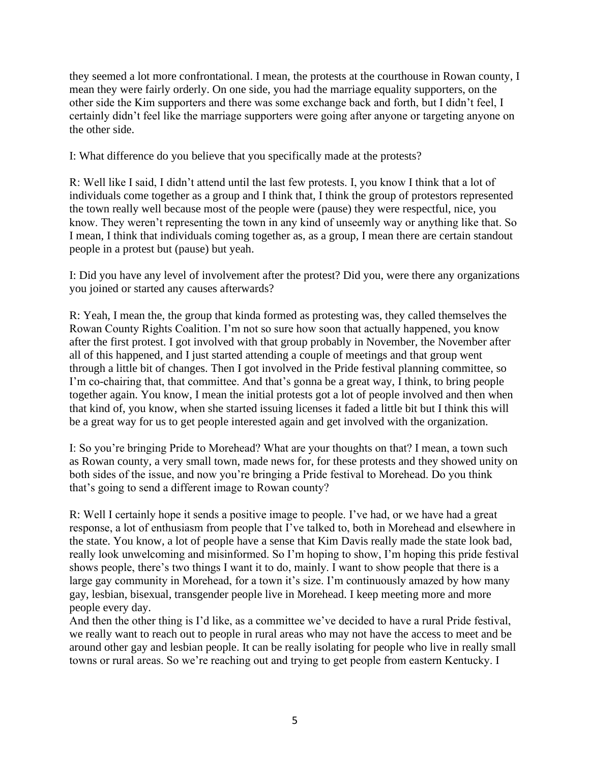they seemed a lot more confrontational. I mean, the protests at the courthouse in Rowan county, I mean they were fairly orderly. On one side, you had the marriage equality supporters, on the other side the Kim supporters and there was some exchange back and forth, but I didn't feel, I certainly didn't feel like the marriage supporters were going after anyone or targeting anyone on the other side.

I: What difference do you believe that you specifically made at the protests?

R: Well like I said, I didn't attend until the last few protests. I, you know I think that a lot of individuals come together as a group and I think that, I think the group of protestors represented the town really well because most of the people were (pause) they were respectful, nice, you know. They weren't representing the town in any kind of unseemly way or anything like that. So I mean, I think that individuals coming together as, as a group, I mean there are certain standout people in a protest but (pause) but yeah.

I: Did you have any level of involvement after the protest? Did you, were there any organizations you joined or started any causes afterwards?

R: Yeah, I mean the, the group that kinda formed as protesting was, they called themselves the Rowan County Rights Coalition. I'm not so sure how soon that actually happened, you know after the first protest. I got involved with that group probably in November, the November after all of this happened, and I just started attending a couple of meetings and that group went through a little bit of changes. Then I got involved in the Pride festival planning committee, so I'm co-chairing that, that committee. And that's gonna be a great way, I think, to bring people together again. You know, I mean the initial protests got a lot of people involved and then when that kind of, you know, when she started issuing licenses it faded a little bit but I think this will be a great way for us to get people interested again and get involved with the organization.

I: So you're bringing Pride to Morehead? What are your thoughts on that? I mean, a town such as Rowan county, a very small town, made news for, for these protests and they showed unity on both sides of the issue, and now you're bringing a Pride festival to Morehead. Do you think that's going to send a different image to Rowan county?

R: Well I certainly hope it sends a positive image to people. I've had, or we have had a great response, a lot of enthusiasm from people that I've talked to, both in Morehead and elsewhere in the state. You know, a lot of people have a sense that Kim Davis really made the state look bad, really look unwelcoming and misinformed. So I'm hoping to show, I'm hoping this pride festival shows people, there's two things I want it to do, mainly. I want to show people that there is a large gay community in Morehead, for a town it's size. I'm continuously amazed by how many gay, lesbian, bisexual, transgender people live in Morehead. I keep meeting more and more people every day.

And then the other thing is I'd like, as a committee we've decided to have a rural Pride festival, we really want to reach out to people in rural areas who may not have the access to meet and be around other gay and lesbian people. It can be really isolating for people who live in really small towns or rural areas. So we're reaching out and trying to get people from eastern Kentucky. I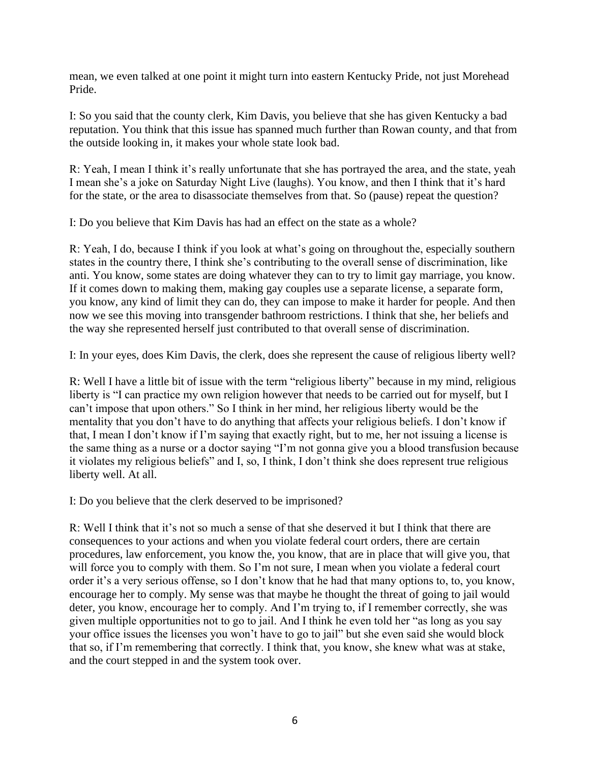mean, we even talked at one point it might turn into eastern Kentucky Pride, not just Morehead Pride.

I: So you said that the county clerk, Kim Davis, you believe that she has given Kentucky a bad reputation. You think that this issue has spanned much further than Rowan county, and that from the outside looking in, it makes your whole state look bad.

R: Yeah, I mean I think it's really unfortunate that she has portrayed the area, and the state, yeah I mean she's a joke on Saturday Night Live (laughs). You know, and then I think that it's hard for the state, or the area to disassociate themselves from that. So (pause) repeat the question?

I: Do you believe that Kim Davis has had an effect on the state as a whole?

R: Yeah, I do, because I think if you look at what's going on throughout the, especially southern states in the country there, I think she's contributing to the overall sense of discrimination, like anti. You know, some states are doing whatever they can to try to limit gay marriage, you know. If it comes down to making them, making gay couples use a separate license, a separate form, you know, any kind of limit they can do, they can impose to make it harder for people. And then now we see this moving into transgender bathroom restrictions. I think that she, her beliefs and the way she represented herself just contributed to that overall sense of discrimination.

I: In your eyes, does Kim Davis, the clerk, does she represent the cause of religious liberty well?

R: Well I have a little bit of issue with the term "religious liberty" because in my mind, religious liberty is "I can practice my own religion however that needs to be carried out for myself, but I can't impose that upon others." So I think in her mind, her religious liberty would be the mentality that you don't have to do anything that affects your religious beliefs. I don't know if that, I mean I don't know if I'm saying that exactly right, but to me, her not issuing a license is the same thing as a nurse or a doctor saying "I'm not gonna give you a blood transfusion because it violates my religious beliefs" and I, so, I think, I don't think she does represent true religious liberty well. At all.

I: Do you believe that the clerk deserved to be imprisoned?

R: Well I think that it's not so much a sense of that she deserved it but I think that there are consequences to your actions and when you violate federal court orders, there are certain procedures, law enforcement, you know the, you know, that are in place that will give you, that will force you to comply with them. So I'm not sure, I mean when you violate a federal court order it's a very serious offense, so I don't know that he had that many options to, to, you know, encourage her to comply. My sense was that maybe he thought the threat of going to jail would deter, you know, encourage her to comply. And I'm trying to, if I remember correctly, she was given multiple opportunities not to go to jail. And I think he even told her "as long as you say your office issues the licenses you won't have to go to jail" but she even said she would block that so, if I'm remembering that correctly. I think that, you know, she knew what was at stake, and the court stepped in and the system took over.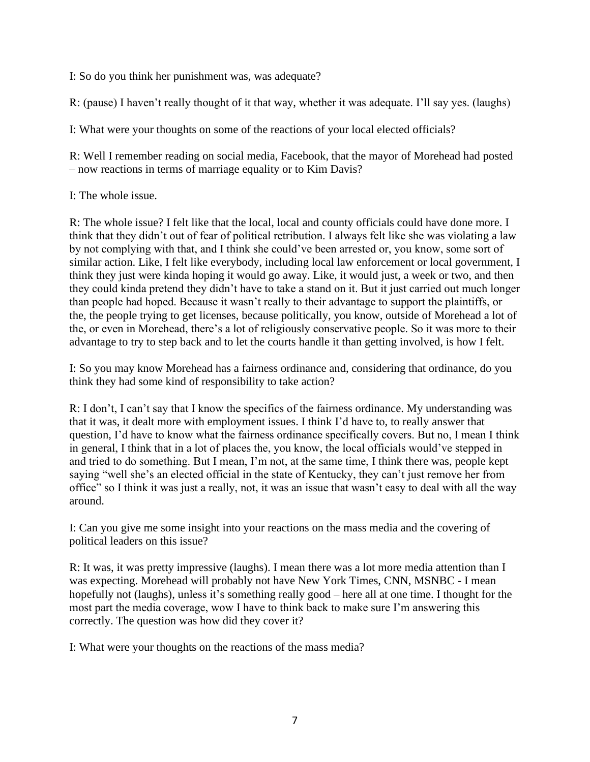I: So do you think her punishment was, was adequate?

R: (pause) I haven't really thought of it that way, whether it was adequate. I'll say yes. (laughs)

I: What were your thoughts on some of the reactions of your local elected officials?

R: Well I remember reading on social media, Facebook, that the mayor of Morehead had posted – now reactions in terms of marriage equality or to Kim Davis?

## I: The whole issue.

R: The whole issue? I felt like that the local, local and county officials could have done more. I think that they didn't out of fear of political retribution. I always felt like she was violating a law by not complying with that, and I think she could've been arrested or, you know, some sort of similar action. Like, I felt like everybody, including local law enforcement or local government, I think they just were kinda hoping it would go away. Like, it would just, a week or two, and then they could kinda pretend they didn't have to take a stand on it. But it just carried out much longer than people had hoped. Because it wasn't really to their advantage to support the plaintiffs, or the, the people trying to get licenses, because politically, you know, outside of Morehead a lot of the, or even in Morehead, there's a lot of religiously conservative people. So it was more to their advantage to try to step back and to let the courts handle it than getting involved, is how I felt.

I: So you may know Morehead has a fairness ordinance and, considering that ordinance, do you think they had some kind of responsibility to take action?

R: I don't, I can't say that I know the specifics of the fairness ordinance. My understanding was that it was, it dealt more with employment issues. I think I'd have to, to really answer that question, I'd have to know what the fairness ordinance specifically covers. But no, I mean I think in general, I think that in a lot of places the, you know, the local officials would've stepped in and tried to do something. But I mean, I'm not, at the same time, I think there was, people kept saying "well she's an elected official in the state of Kentucky, they can't just remove her from office" so I think it was just a really, not, it was an issue that wasn't easy to deal with all the way around.

I: Can you give me some insight into your reactions on the mass media and the covering of political leaders on this issue?

R: It was, it was pretty impressive (laughs). I mean there was a lot more media attention than I was expecting. Morehead will probably not have New York Times, CNN, MSNBC - I mean hopefully not (laughs), unless it's something really good – here all at one time. I thought for the most part the media coverage, wow I have to think back to make sure I'm answering this correctly. The question was how did they cover it?

I: What were your thoughts on the reactions of the mass media?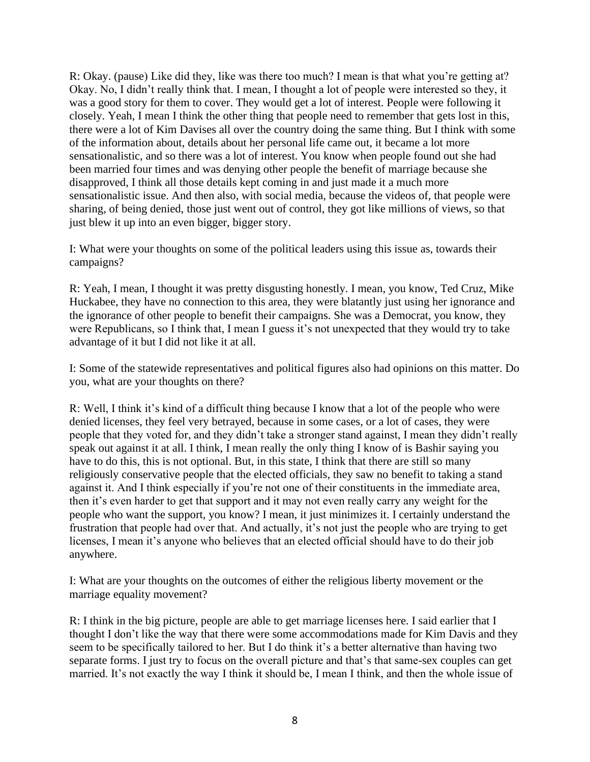R: Okay. (pause) Like did they, like was there too much? I mean is that what you're getting at? Okay. No, I didn't really think that. I mean, I thought a lot of people were interested so they, it was a good story for them to cover. They would get a lot of interest. People were following it closely. Yeah, I mean I think the other thing that people need to remember that gets lost in this, there were a lot of Kim Davises all over the country doing the same thing. But I think with some of the information about, details about her personal life came out, it became a lot more sensationalistic, and so there was a lot of interest. You know when people found out she had been married four times and was denying other people the benefit of marriage because she disapproved, I think all those details kept coming in and just made it a much more sensationalistic issue. And then also, with social media, because the videos of, that people were sharing, of being denied, those just went out of control, they got like millions of views, so that just blew it up into an even bigger, bigger story.

I: What were your thoughts on some of the political leaders using this issue as, towards their campaigns?

R: Yeah, I mean, I thought it was pretty disgusting honestly. I mean, you know, Ted Cruz, Mike Huckabee, they have no connection to this area, they were blatantly just using her ignorance and the ignorance of other people to benefit their campaigns. She was a Democrat, you know, they were Republicans, so I think that, I mean I guess it's not unexpected that they would try to take advantage of it but I did not like it at all.

I: Some of the statewide representatives and political figures also had opinions on this matter. Do you, what are your thoughts on there?

R: Well, I think it's kind of a difficult thing because I know that a lot of the people who were denied licenses, they feel very betrayed, because in some cases, or a lot of cases, they were people that they voted for, and they didn't take a stronger stand against, I mean they didn't really speak out against it at all. I think, I mean really the only thing I know of is Bashir saying you have to do this, this is not optional. But, in this state, I think that there are still so many religiously conservative people that the elected officials, they saw no benefit to taking a stand against it. And I think especially if you're not one of their constituents in the immediate area, then it's even harder to get that support and it may not even really carry any weight for the people who want the support, you know? I mean, it just minimizes it. I certainly understand the frustration that people had over that. And actually, it's not just the people who are trying to get licenses, I mean it's anyone who believes that an elected official should have to do their job anywhere.

I: What are your thoughts on the outcomes of either the religious liberty movement or the marriage equality movement?

R: I think in the big picture, people are able to get marriage licenses here. I said earlier that I thought I don't like the way that there were some accommodations made for Kim Davis and they seem to be specifically tailored to her. But I do think it's a better alternative than having two separate forms. I just try to focus on the overall picture and that's that same-sex couples can get married. It's not exactly the way I think it should be, I mean I think, and then the whole issue of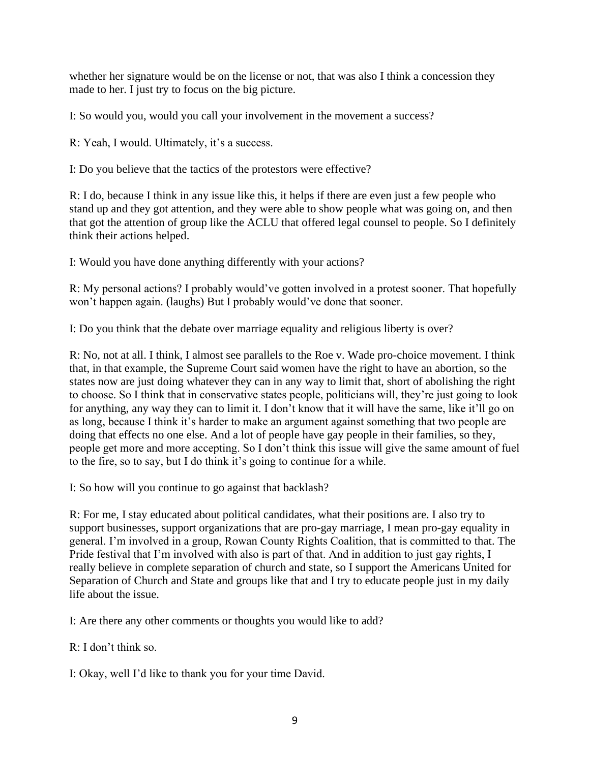whether her signature would be on the license or not, that was also I think a concession they made to her. I just try to focus on the big picture.

I: So would you, would you call your involvement in the movement a success?

R: Yeah, I would. Ultimately, it's a success.

I: Do you believe that the tactics of the protestors were effective?

R: I do, because I think in any issue like this, it helps if there are even just a few people who stand up and they got attention, and they were able to show people what was going on, and then that got the attention of group like the ACLU that offered legal counsel to people. So I definitely think their actions helped.

I: Would you have done anything differently with your actions?

R: My personal actions? I probably would've gotten involved in a protest sooner. That hopefully won't happen again. (laughs) But I probably would've done that sooner.

I: Do you think that the debate over marriage equality and religious liberty is over?

R: No, not at all. I think, I almost see parallels to the Roe v. Wade pro-choice movement. I think that, in that example, the Supreme Court said women have the right to have an abortion, so the states now are just doing whatever they can in any way to limit that, short of abolishing the right to choose. So I think that in conservative states people, politicians will, they're just going to look for anything, any way they can to limit it. I don't know that it will have the same, like it'll go on as long, because I think it's harder to make an argument against something that two people are doing that effects no one else. And a lot of people have gay people in their families, so they, people get more and more accepting. So I don't think this issue will give the same amount of fuel to the fire, so to say, but I do think it's going to continue for a while.

I: So how will you continue to go against that backlash?

R: For me, I stay educated about political candidates, what their positions are. I also try to support businesses, support organizations that are pro-gay marriage, I mean pro-gay equality in general. I'm involved in a group, Rowan County Rights Coalition, that is committed to that. The Pride festival that I'm involved with also is part of that. And in addition to just gay rights, I really believe in complete separation of church and state, so I support the Americans United for Separation of Church and State and groups like that and I try to educate people just in my daily life about the issue.

I: Are there any other comments or thoughts you would like to add?

R: I don't think so.

I: Okay, well I'd like to thank you for your time David.